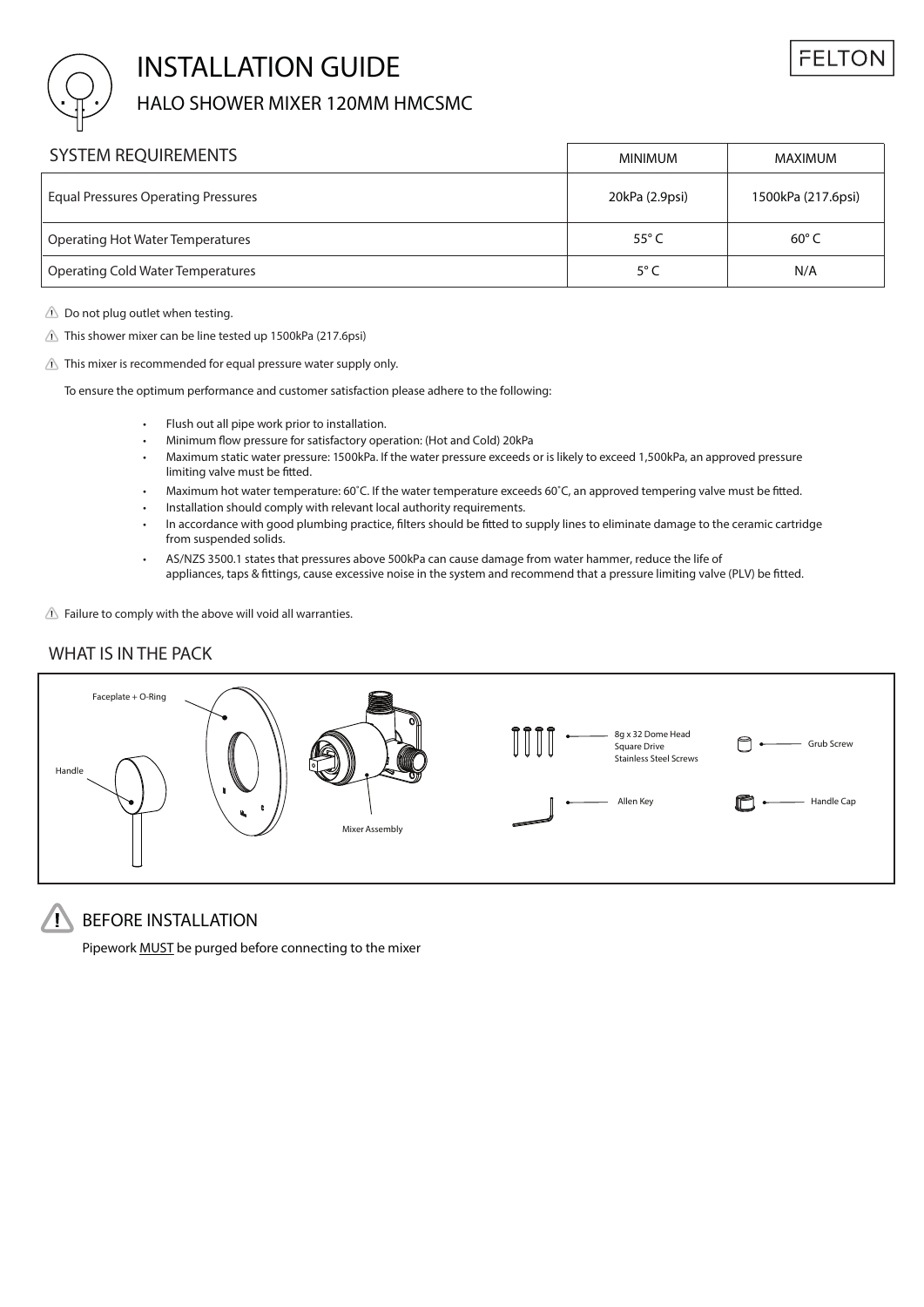

# **INSTALLATION GUIDE**

## HALO SHOWER MIXER 120MM HMCSMC

| <b>SYSTEM REQUIREMENTS</b>                 | <b>MINIMUM</b> | MAXIMUM            |
|--------------------------------------------|----------------|--------------------|
| <b>Equal Pressures Operating Pressures</b> | 20kPa (2.9psi) | 1500kPa (217.6psi) |
| Operating Hot Water Temperatures           | 55 $\degree$ C | $60^{\circ}$ C     |
| Operating Cold Water Temperatures          | $5^{\circ}$ C  | N/A                |

 $\triangle$  Do not plug outlet when testing.

 $\triangle$  This shower mixer can be line tested up 1500kPa (217.6psi)

 $\triangle$  This mixer is recommended for equal pressure water supply only.

To ensure the optimum performance and customer satisfaction please adhere to the following:

- Flush out all pipe work prior to installation.
- Minimum flow pressure for satisfactory operation: (Hot and Cold) 20kPa
- Maximum static water pressure: 1500kPa. If the water pressure exceeds or is likely to exceed 1,500kPa, an approved pressure limiting valve must be fitted.
- Maximum hot water temperature: 60˚C. If the water temperature exceeds 60˚C, an approved tempering valve must be fitted.
- Installation should comply with relevant local authority requirements.
- In accordance with good plumbing practice, filters should be fitted to supply lines to eliminate damage to the ceramic cartridge from suspended solids.
- AS/NZS 3500.1 states that pressures above 500kPa can cause damage from water hammer, reduce the life of appliances, taps & fittings, cause excessive noise in the system and recommend that a pressure limiting valve (PLV) be fitted. •

**Failure to comply with the above will void all warranties.**

### **WHAT IS IN THE PACK**



## **BEFORE INSTALLATION**

Pipework MUST be purged before connecting to the mixer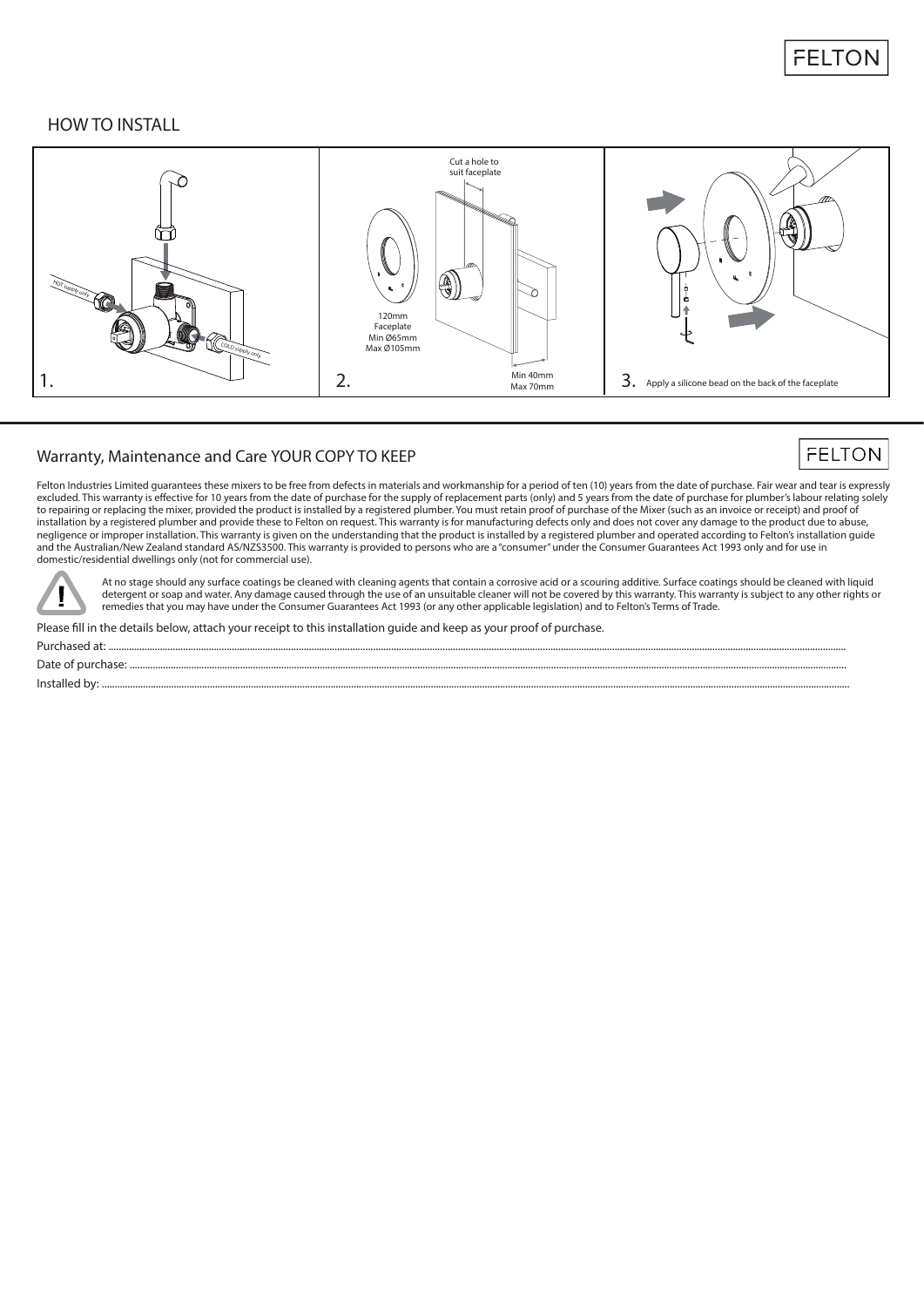

### **HOW TO INSTALL**



#### **Warranty, Maintenance and Care** YOUR COPY TO KEEP

## **FELTON**

Felton Industries Limited guarantees these mixers to be free from defects in materials and workmanship for a period of ten (10) years from the date of purchase. Fair wear and tear is expressly excluded. This warranty is effective for 10 years from the date of purchase for the supply of replacement parts (only) and 5 years from the date of purchase for plumber's labour relating solely to repairing or replacing the mixer, provided the product is installed by a registered plumber. You must retain proof of purchase of the Mixer (such as an invoice or receipt) and proof of installation by a registered plumber and provide these to Felton on request. This warranty is for manufacturing defects only and does not cover any damage to the product due to abuse, negligence or improper installation. This warranty is given on the understanding that the product is installed by a registered plumber and operated according to Felton's installation guide and the Australian/New Zealand standard AS/NZS3500. This warranty is provided to persons who are a "consumer" under the Consumer Guarantees Act 1993 only and for use in domestic/residential dwellings only (not for commercial use).



At no stage should any surface coatings be cleaned with cleaning agents that contain a corrosive acid or a scouring additive. Surface coatings should be cleaned with liquid detergent or soap and water. Any damage caused through the use of an unsuitable cleaner will not be covered by this warranty. This warranty is subject to any other rights or remedies that you may have under the Consumer Guarantees Act 1993 (or any other applicable legislation) and to Felton's Terms of Trade.

Please fill in the details below, attach your receipt to this installation quide and keep as your proof of purchase.

Purchased at: ...............................................................................................................................................................................................................................................................................................

Date of purchase: .......................................................................................................................................................................................................................................................................................

Installed by: ...................................................................................................................................................................................................................................................................................................